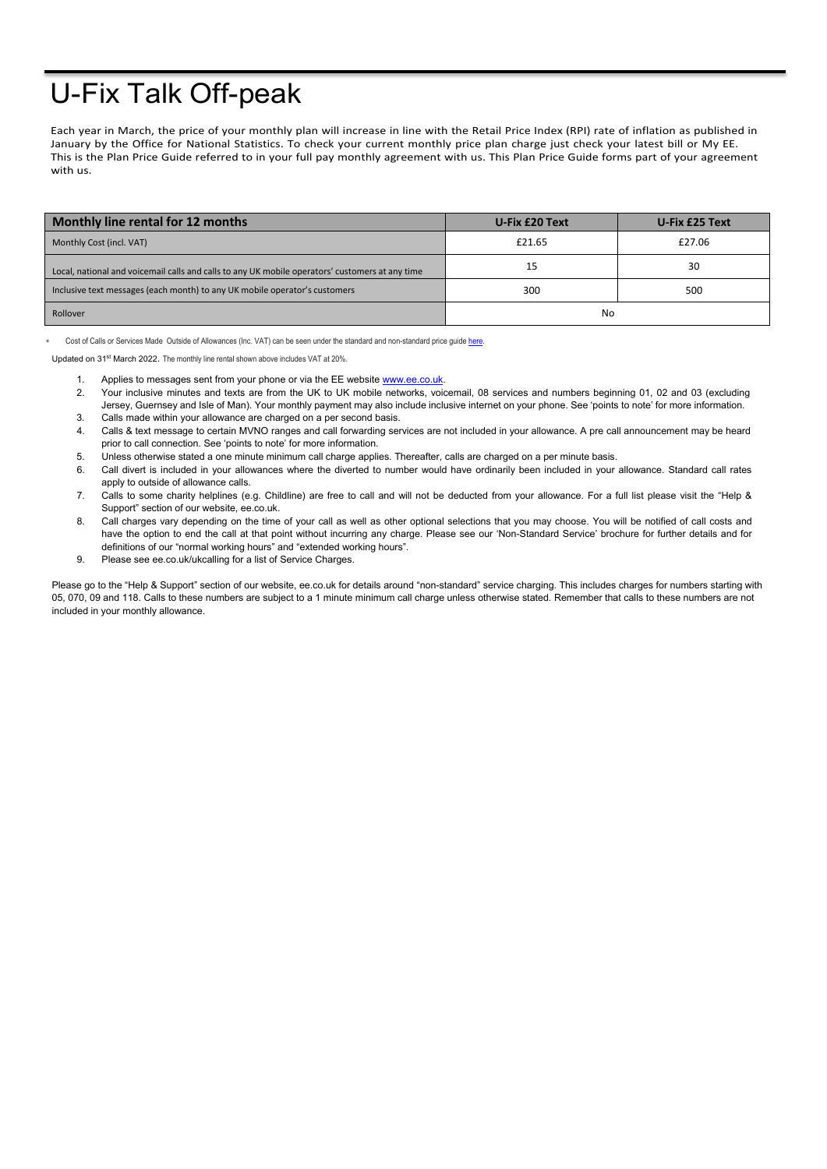## U-Fix Talk Off-peak

Each year in March, the price of your monthly plan will increase in line with the Retail Price Index (RPI) rate of inflation as published in January by the Office for National Statistics. To check your current monthly price plan charge just check your latest bill or My EE. This is the Plan Price Guide referred to in your full pay monthly agreement with us. This Plan Price Guide forms part of your agreement with us.

| Monthly line rental for 12 months                                                               | U-Fix £20 Text | U-Fix £25 Text |
|-------------------------------------------------------------------------------------------------|----------------|----------------|
|                                                                                                 |                |                |
| Monthly Cost (incl. VAT)                                                                        | £21.65         | £27.06         |
| Local, national and voicemail calls and calls to any UK mobile operators' customers at any time | 15             | 30             |
| Inclusive text messages (each month) to any UK mobile operator's customers                      | 300            | 500            |
| Rollover                                                                                        | No             |                |

Cost of Calls or Services Made Outside of Allowances (Inc. VAT) can be seen under the standard and non-standard price quid[e here.](https://ee.co.uk/help/help-new/price-plans/legacy-brand/pay-monthly-price-plans)

Updated on 31st March 2022. The monthly line rental shown above includes VAT at 20%.

- 1. Applies to messages sent from your phone or via the EE website [www.ee.co.uk.](http://www.ee.co.uk/)
- 2. Your inclusive minutes and texts are from the UK to UK mobile networks, voicemail, 08 services and numbers beginning 01, 02 and 03 (excluding Jersey, Guernsey and Isle of Man). Your monthly payment may also include inclusive internet on your phone. See 'points to note' for more information. 3. Calls made within your allowance are charged on a per second basis.
- 4. Calls & text message to certain MVNO ranges and call forwarding services are not included in your allowance. A pre call announcement may be heard
- prior to call connection. See 'points to note' for more information.
- 5. Unless otherwise stated a one minute minimum call charge applies. Thereafter, calls are charged on a per minute basis.
- 6. Call divert is included in your allowances where the diverted to number would have ordinarily been included in your allowance. Standard call rates apply to outside of allowance calls.
- 7. Calls to some charity helplines (e.g. Childline) are free to call and will not be deducted from your allowance. For a full list please visit the "Help & Support" section of our website, ee.co.uk.
- 8. Call charges vary depending on the time of your call as well as other optional selections that you may choose. You will be notified of call costs and have the option to end the call at that point without incurring any charge. Please see our 'Non-Standard Service' brochure for further details and for definitions of our "normal working hours" and "extended working hours".
- 9. Please see ee.co.uk/ukcalling for a list of Service Charges.

Please go to the "Help & Support" section of our website, ee.co.uk for details around "non-standard" service charging. This includes charges for numbers starting with 05, 070, 09 and 118. Calls to these numbers are subject to a 1 minute minimum call charge unless otherwise stated. Remember that calls to these numbers are not included in your monthly allowance.